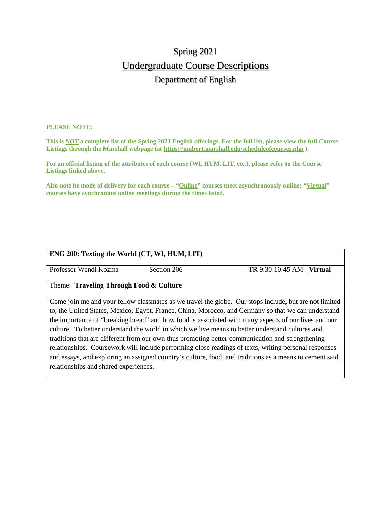# Spring 2021 Undergraduate Course Descriptions Department of English

#### **PLEASE NOTE:**

**This is** *NOT* **a complete list of the Spring 2021 English offerings. For the full list, please view the full Course Listings through the Marshall webpage (at https://mubert.marshall.edu/scheduleofcourses.php ).**

**For an official listing of the attributes of each course (WI, HUM, LIT, etc.), please refer to the Course Listings linked above.**

**Also note he mode of delivery for each course – "Online" courses meet asynchronously online; "Virtual" courses have synchronous online meetings during the times listed.**

| ENG 200: Texting the World (CT, WI, HUM, LIT)                                                           |                                                                                                        |                            |  |
|---------------------------------------------------------------------------------------------------------|--------------------------------------------------------------------------------------------------------|----------------------------|--|
| Professor Wendi Kozma                                                                                   | Section 206                                                                                            | TR 9:30-10:45 AM - Virtual |  |
| Theme: Traveling Through Food & Culture                                                                 |                                                                                                        |                            |  |
|                                                                                                         | Come join me and your fellow classmates as we travel the globe. Our stops include, but are not limited |                            |  |
| to, the United States, Mexico, Egypt, France, China, Morocco, and Germany so that we can understand     |                                                                                                        |                            |  |
| the importance of "breaking bread" and how food is associated with many aspects of our lives and our    |                                                                                                        |                            |  |
| culture. To better understand the world in which we live means to better understand cultures and        |                                                                                                        |                            |  |
| traditions that are different from our own thus promoting better communication and strengthening        |                                                                                                        |                            |  |
| relationships. Coursework will include performing close readings of texts, writing personal responses   |                                                                                                        |                            |  |
| and essays, and exploring an assigned country's culture, food, and traditions as a means to cement said |                                                                                                        |                            |  |
| relationships and shared experiences.                                                                   |                                                                                                        |                            |  |
|                                                                                                         |                                                                                                        |                            |  |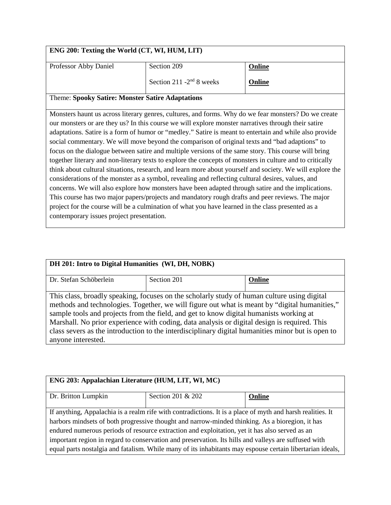| ENG 200: Texting the World (CT, WI, HUM, LIT)                                                             |                                                                                                      |        |
|-----------------------------------------------------------------------------------------------------------|------------------------------------------------------------------------------------------------------|--------|
| Professor Abby Daniel                                                                                     | Section 209                                                                                          | Online |
|                                                                                                           | Section 211 -2 <sup>nd</sup> 8 weeks                                                                 | Online |
| <b>Theme: Spooky Satire: Monster Satire Adaptations</b>                                                   |                                                                                                      |        |
|                                                                                                           | Monsters haunt us across literary genres, cultures, and forms. Why do we fear monsters? Do we create |        |
|                                                                                                           | our monsters or are they us? In this course we will explore monster narratives through their satire  |        |
| adaptations. Satire is a form of humor or "medley." Satire is meant to entertain and while also provide   |                                                                                                      |        |
| social commentary. We will move beyond the comparison of original texts and "bad adaptions" to            |                                                                                                      |        |
| focus on the dialogue between satire and multiple versions of the same story. This course will bring      |                                                                                                      |        |
| together literary and non-literary texts to explore the concepts of monsters in culture and to critically |                                                                                                      |        |
| think about cultural situations, research, and learn more about yourself and society. We will explore the |                                                                                                      |        |
| considerations of the monster as a symbol, revealing and reflecting cultural desires, values, and         |                                                                                                      |        |
| concerns. We will also explore how monsters have been adapted through satire and the implications.        |                                                                                                      |        |
| This course has two major papers/projects and mandatory rough drafts and peer reviews. The major          |                                                                                                      |        |
| project for the course will be a culmination of what you have learned in the class presented as a         |                                                                                                      |        |
| contemporary issues project presentation.                                                                 |                                                                                                      |        |
|                                                                                                           |                                                                                                      |        |

| DH 201: Intro to Digital Humanities (WI, DH, NOBK)                                            |             |                                                                                                   |
|-----------------------------------------------------------------------------------------------|-------------|---------------------------------------------------------------------------------------------------|
| Dr. Stefan Schöberlein                                                                        | Section 201 | Online                                                                                            |
|                                                                                               |             |                                                                                                   |
| This class, broadly speaking, focuses on the scholarly study of human culture using digital   |             |                                                                                                   |
| methods and technologies. Together, we will figure out what is meant by "digital humanities," |             |                                                                                                   |
| sample tools and projects from the field, and get to know digital humanists working at        |             |                                                                                                   |
| Marshall. No prior experience with coding, data analysis or digital design is required. This  |             |                                                                                                   |
|                                                                                               |             | class severs as the introduction to the interdisciplinary digital humanities minor but is open to |
| anyone interested.                                                                            |             |                                                                                                   |

| ENG 203: Appalachian Literature (HUM, LIT, WI, MC)                                                         |                   |        |
|------------------------------------------------------------------------------------------------------------|-------------------|--------|
| Dr. Britton Lumpkin                                                                                        | Section 201 & 202 | Online |
| If anything, Appalachia is a realm rife with contradictions. It is a place of myth and harsh realities. It |                   |        |
| harbors mindsets of both progressive thought and narrow-minded thinking. As a bioregion, it has            |                   |        |
| endured numerous periods of resource extraction and exploitation, yet it has also served as an             |                   |        |
| important region in regard to conservation and preservation. Its hills and valleys are suffused with       |                   |        |
| equal parts nostalgia and fatalism. While many of its inhabitants may espouse certain libertarian ideals,  |                   |        |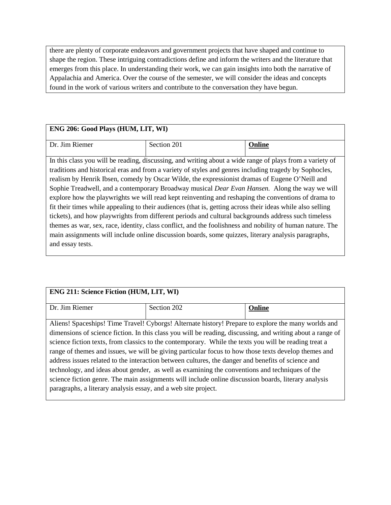there are plenty of corporate endeavors and government projects that have shaped and continue to shape the region. These intriguing contradictions define and inform the writers and the literature that emerges from this place. In understanding their work, we can gain insights into both the narrative of Appalachia and America. Over the course of the semester, we will consider the ideas and concepts found in the work of various writers and contribute to the conversation they have begun.

### **ENG 206: Good Plays (HUM, LIT, WI)**

| $\overline{\phantom{a}}$<br>D<br>. )r<br>emer | $\sim$ $\sim$ $\sim$<br>,,<br>$\cdot$<br>$\sim$ uUII $\angle$<br>tuun 201 |  |
|-----------------------------------------------|---------------------------------------------------------------------------|--|

In this class you will be reading, discussing, and writing about a wide range of plays from a variety of traditions and historical eras and from a variety of styles and genres including tragedy by Sophocles, realism by Henrik Ibsen, comedy by Oscar Wilde, the expressionist dramas of Eugene O'Neill and Sophie Treadwell, and a contemporary Broadway musical *Dear Evan Hansen.* Along the way we will explore how the playwrights we will read kept reinventing and reshaping the conventions of drama to fit their times while appealing to their audiences (that is, getting across their ideas while also selling tickets), and how playwrights from different periods and cultural backgrounds address such timeless themes as war, sex, race, identity, class conflict, and the foolishness and nobility of human nature. The main assignments will include online discussion boards, some quizzes, literary analysis paragraphs, and essay tests.

# **ENG 211: Science Fiction (HUM, LIT, WI)** Dr. Jim Riemer Section 202 **Online** Aliens! Spaceships! Time Travel! Cyborgs! Alternate history! Prepare to explore the many worlds and dimensions of science fiction. In this class you will be reading, discussing, and writing about a range of science fiction texts, from classics to the contemporary. While the texts you will be reading treat a range of themes and issues, we will be giving particular focus to how those texts develop themes and address issues related to the interaction between cultures, the danger and benefits of science and technology, and ideas about gender, as well as examining the conventions and techniques of the science fiction genre. The main assignments will include online discussion boards, literary analysis

paragraphs, a literary analysis essay, and a web site project.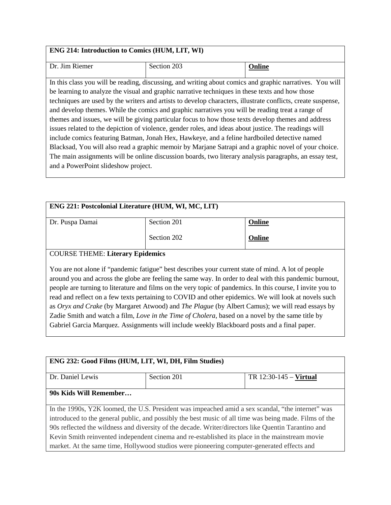### **ENG 214: Introduction to Comics (HUM, LIT, WI)**

| Dr. Jim Riemer                                                                                          | Section 203                                                                                                  | Online |
|---------------------------------------------------------------------------------------------------------|--------------------------------------------------------------------------------------------------------------|--------|
|                                                                                                         |                                                                                                              |        |
|                                                                                                         | In this class you will be reading, discussing, and writing about comics and graphic narratives. You will     |        |
|                                                                                                         | be learning to analyze the visual and graphic narrative techniques in these texts and how those              |        |
|                                                                                                         | techniques are used by the writers and artists to develop characters, illustrate conflicts, create suspense, |        |
| and develop themes. While the comics and graphic narratives you will be reading treat a range of        |                                                                                                              |        |
| themes and issues, we will be giving particular focus to how those texts develop themes and address     |                                                                                                              |        |
| issues related to the depiction of violence, gender roles, and ideas about justice. The readings will   |                                                                                                              |        |
| include comics featuring Batman, Jonah Hex, Hawkeye, and a feline hardboiled detective named            |                                                                                                              |        |
| Blacksad, You will also read a graphic memoir by Marjane Satrapi and a graphic novel of your choice.    |                                                                                                              |        |
| The main assignments will be online discussion boards, two literary analysis paragraphs, an essay test, |                                                                                                              |        |
| and a PowerPoint slideshow project.                                                                     |                                                                                                              |        |
|                                                                                                         |                                                                                                              |        |

| ENG 221: Postcolonial Literature (HUM, WI, MC, LIT)                                                                                                                                                                                                                                                                                                                                                                                                                                                                                                                                                                                                                                                                                      |             |        |
|------------------------------------------------------------------------------------------------------------------------------------------------------------------------------------------------------------------------------------------------------------------------------------------------------------------------------------------------------------------------------------------------------------------------------------------------------------------------------------------------------------------------------------------------------------------------------------------------------------------------------------------------------------------------------------------------------------------------------------------|-------------|--------|
| Dr. Puspa Damai                                                                                                                                                                                                                                                                                                                                                                                                                                                                                                                                                                                                                                                                                                                          | Section 201 | Online |
|                                                                                                                                                                                                                                                                                                                                                                                                                                                                                                                                                                                                                                                                                                                                          | Section 202 | Online |
| <b>COURSE THEME: Literary Epidemics</b>                                                                                                                                                                                                                                                                                                                                                                                                                                                                                                                                                                                                                                                                                                  |             |        |
| You are not alone if "pandemic fatigue" best describes your current state of mind. A lot of people<br>around you and across the globe are feeling the same way. In order to deal with this pandemic burnout,<br>people are turning to literature and films on the very topic of pandemics. In this course, I invite you to<br>read and reflect on a few texts pertaining to COVID and other epidemics. We will look at novels such<br>as Oryx and Crake (by Margaret Atwood) and The Plague (by Albert Camus); we will read essays by<br>Zadie Smith and watch a film, Love in the Time of Cholera, based on a novel by the same title by<br>Gabriel Garcia Marquez. Assignments will include weekly Blackboard posts and a final paper. |             |        |

| ENG 232: Good Films (HUM, LIT, WI, DH, Film Studies)                                                   |             |                          |  |
|--------------------------------------------------------------------------------------------------------|-------------|--------------------------|--|
|                                                                                                        |             |                          |  |
| Dr. Daniel Lewis                                                                                       | Section 201 | $TR 12:30-145 - Virtual$ |  |
|                                                                                                        |             |                          |  |
| 90s Kids Will Remember                                                                                 |             |                          |  |
|                                                                                                        |             |                          |  |
| In the 1990s, Y2K loomed, the U.S. President was impeached amid a sex scandal, "the internet" was      |             |                          |  |
| introduced to the general public, and possibly the best music of all time was being made. Films of the |             |                          |  |
| 90s reflected the wildness and diversity of the decade. Writer/directors like Quentin Tarantino and    |             |                          |  |
| Kevin Smith reinvented independent cinema and re-established its place in the mainstream movie         |             |                          |  |
| market. At the same time, Hollywood studios were pioneering computer-generated effects and             |             |                          |  |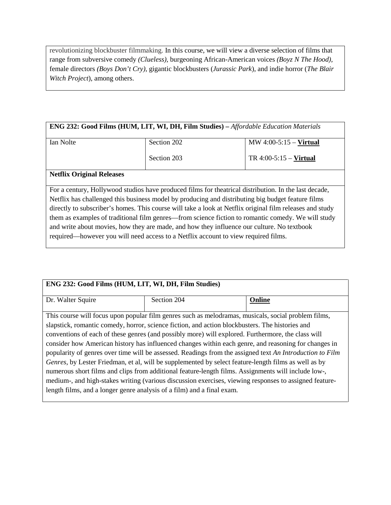revolutionizing blockbuster filmmaking. In this course, we will view a diverse selection of films that range from subversive comedy *(Clueless),* burgeoning African-American voices *(Boyz N The Hood),*  female directors *(Boys Don't Cry),* gigantic blockbusters (*Jurassic Park*), and indie horror (*The Blair Witch Project*), among others.

#### **ENG 232: Good Films (HUM, LIT, WI, DH, Film Studies) –** *Affordable Education Materials*

| Ian Nolte | Section 202 | MW $4:00-5:15$ – Virtual |
|-----------|-------------|--------------------------|
|           | Section 203 | TR $4:00-5:15$ – Virtual |

#### **Netflix Original Releases**

For a century, Hollywood studios have produced films for theatrical distribution. In the last decade, Netflix has challenged this business model by producing and distributing big budget feature films directly to subscriber's homes. This course will take a look at Netflix original film releases and study them as examples of traditional film genres—from science fiction to romantic comedy. We will study and write about movies, how they are made, and how they influence our culture. No textbook required—however you will need access to a Netflix account to view required films.

| ENG 232: Good Films (HUM, LIT, WI, DH, Film Studies)                                                     |             |        |  |
|----------------------------------------------------------------------------------------------------------|-------------|--------|--|
| Dr. Walter Squire                                                                                        | Section 204 | Online |  |
| This course will focus upon popular film genres such as melodramas, musicals, social problem films,      |             |        |  |
| slapstick, romantic comedy, horror, science fiction, and action blockbusters. The histories and          |             |        |  |
| conventions of each of these genres (and possibly more) will explored. Furthermore, the class will       |             |        |  |
| consider how American history has influenced changes within each genre, and reasoning for changes in     |             |        |  |
| popularity of genres over time will be assessed. Readings from the assigned text An Introduction to Film |             |        |  |
| Genres, by Lester Friedman, et al, will be supplemented by select feature-length films as well as by     |             |        |  |
| numerous short films and clips from additional feature-length films. Assignments will include low-,      |             |        |  |
| medium-, and high-stakes writing (various discussion exercises, viewing responses to assigned feature-   |             |        |  |
| length films, and a longer genre analysis of a film) and a final exam.                                   |             |        |  |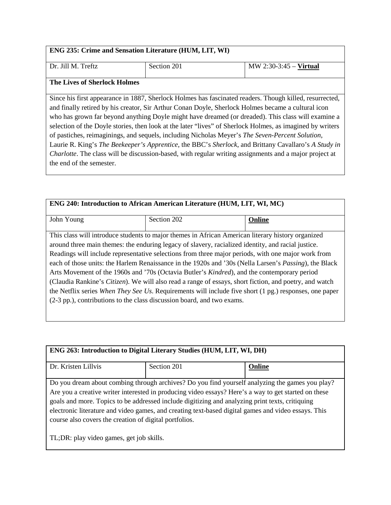#### **ENG 235: Crime and Sensation Literature (HUM, LIT, WI)**

Dr. Jill M. Treftz | Section 201 | MW 2:30-3:45 – **Virtual** 

#### **The Lives of Sherlock Holmes**

Since his first appearance in 1887, Sherlock Holmes has fascinated readers. Though killed, resurrected, and finally retired by his creator, Sir Arthur Conan Doyle, Sherlock Holmes became a cultural icon who has grown far beyond anything Doyle might have dreamed (or dreaded). This class will examine a selection of the Doyle stories, then look at the later "lives" of Sherlock Holmes, as imagined by writers of pastiches, reimaginings, and sequels, including Nicholas Meyer's *The Seven-Percent Solution*, Laurie R. King's *The Beekeeper's Apprentice*, the BBC's *Sherlock*, and Brittany Cavallaro's *A Study in Charlotte*. The class will be discussion-based, with regular writing assignments and a major project at the end of the semester.

| ENG 240: Introduction to African American Literature (HUM, LIT, WI, MC) |                                                                                                                                                                                                                                                                                                                                                                                                                                                                                                                                                                                                                                                                                                                                                                                                                                     |        |
|-------------------------------------------------------------------------|-------------------------------------------------------------------------------------------------------------------------------------------------------------------------------------------------------------------------------------------------------------------------------------------------------------------------------------------------------------------------------------------------------------------------------------------------------------------------------------------------------------------------------------------------------------------------------------------------------------------------------------------------------------------------------------------------------------------------------------------------------------------------------------------------------------------------------------|--------|
| John Young                                                              | Section 202                                                                                                                                                                                                                                                                                                                                                                                                                                                                                                                                                                                                                                                                                                                                                                                                                         | Online |
|                                                                         | This class will introduce students to major themes in African American literary history organized<br>around three main themes: the enduring legacy of slavery, racialized identity, and racial justice.<br>Readings will include representative selections from three major periods, with one major work from<br>each of those units: the Harlem Renaissance in the 1920s and '30s (Nella Larsen's <i>Passing</i> ), the Black<br>Arts Movement of the 1960s and '70s (Octavia Butler's <i>Kindred</i> ), and the contemporary period<br>(Claudia Rankine's Citizen). We will also read a range of essays, short fiction, and poetry, and watch<br>the Netflix series When They See Us. Requirements will include five short (1 pg.) responses, one paper<br>(2-3 pp.), contributions to the class discussion board, and two exams. |        |

| ENG 263: Introduction to Digital Literary Studies (HUM, LIT, WI, DH)                                 |                                                                                                 |        |
|------------------------------------------------------------------------------------------------------|-------------------------------------------------------------------------------------------------|--------|
|                                                                                                      |                                                                                                 |        |
| Dr. Kristen Lillvis                                                                                  | Section 201                                                                                     | Online |
|                                                                                                      |                                                                                                 |        |
|                                                                                                      | Do you dream about combing through archives? Do you find yourself analyzing the games you play? |        |
| Are you a creative writer interested in producing video essays? Here's a way to get started on these |                                                                                                 |        |
| goals and more. Topics to be addressed include digitizing and analyzing print texts, critiquing      |                                                                                                 |        |
| electronic literature and video games, and creating text-based digital games and video essays. This  |                                                                                                 |        |
| course also covers the creation of digital portfolios.                                               |                                                                                                 |        |
|                                                                                                      |                                                                                                 |        |
| TL; DR: play video games, get job skills.                                                            |                                                                                                 |        |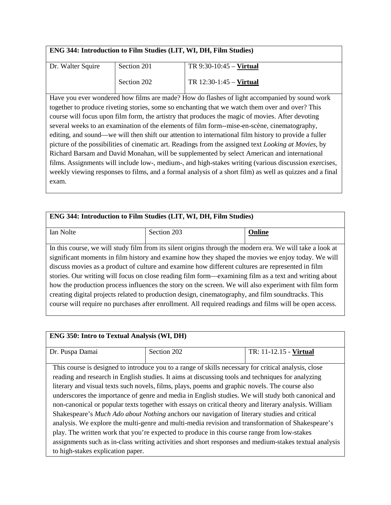| ENG 344: Introduction to Film Studies (LIT, WI, DH, Film Studies) |
|-------------------------------------------------------------------|
|-------------------------------------------------------------------|

| Dr. Walter Squire | Section 201 | TR $9:30-10:45$ – Virtual |
|-------------------|-------------|---------------------------|
|                   | Section 202 | TR $12:30-1:45$ – Virtual |

Have you ever wondered how films are made? How do flashes of light accompanied by sound work together to produce riveting stories, some so enchanting that we watch them over and over? This course will focus upon film form, the artistry that produces the magic of movies. After devoting several weeks to an examination of the elements of film form--mise-en-scène, cinematography, editing, and sound—we will then shift our attention to international film history to provide a fuller picture of the possibilities of cinematic art. Readings from the assigned text *Looking at Movies*, by Richard Barsam and David Monahan, will be supplemented by select American and international films. Assignments will include low-, medium-, and high-stakes writing (various discussion exercises, weekly viewing responses to films, and a formal analysis of a short film) as well as quizzes and a final exam.

| ENG 344: Introduction to Film Studies (LIT, WI, DH, Film Studies)                                       |                                                                                                           |        |  |
|---------------------------------------------------------------------------------------------------------|-----------------------------------------------------------------------------------------------------------|--------|--|
|                                                                                                         |                                                                                                           |        |  |
| Ian Nolte                                                                                               | Section 203                                                                                               | Online |  |
|                                                                                                         |                                                                                                           |        |  |
|                                                                                                         | In this course, we will study film from its silent origins through the modern era. We will take a look at |        |  |
| significant moments in film history and examine how they shaped the movies we enjoy today. We will      |                                                                                                           |        |  |
| discuss movies as a product of culture and examine how different cultures are represented in film       |                                                                                                           |        |  |
| stories. Our writing will focus on close reading film form—examining film as a text and writing about   |                                                                                                           |        |  |
| how the production process influences the story on the screen. We will also experiment with film form   |                                                                                                           |        |  |
| creating digital projects related to production design, cinematography, and film soundtracks. This      |                                                                                                           |        |  |
| course will require no purchases after enrollment. All required readings and films will be open access. |                                                                                                           |        |  |
|                                                                                                         |                                                                                                           |        |  |

# **ENG 350: Intro to Textual Analysis (WI, DH)** Dr. Puspa Damai Section 202 TR: 11-12.15 - **Virtual** This course is designed to introduce you to a range of skills necessary for critical analysis, close reading and research in English studies. It aims at discussing tools and techniques for analyzing literary and visual texts such novels, films, plays, poems and graphic novels. The course also underscores the importance of genre and media in English studies. We will study both canonical and non-canonical or popular texts together with essays on critical theory and literary analysis. William Shakespeare's *Much Ado about Nothing* anchors our navigation of literary studies and critical analysis. We explore the multi-genre and multi-media revision and transformation of Shakespeare's play. The written work that you're expected to produce in this course range from low-stakes assignments such as in-class writing activities and short responses and medium-stakes textual analysis to high-stakes explication paper.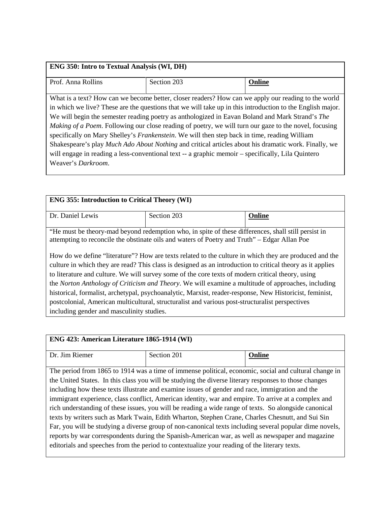| <b>ENG 350: Intro to Textual Analysis (WI, DH)</b> |                                                                                                                                                                                                                                                                                                                                                                                                                                                                                                                                                                                                                                                                                                                                                  |        |  |
|----------------------------------------------------|--------------------------------------------------------------------------------------------------------------------------------------------------------------------------------------------------------------------------------------------------------------------------------------------------------------------------------------------------------------------------------------------------------------------------------------------------------------------------------------------------------------------------------------------------------------------------------------------------------------------------------------------------------------------------------------------------------------------------------------------------|--------|--|
| Prof. Anna Rollins                                 | Section 203                                                                                                                                                                                                                                                                                                                                                                                                                                                                                                                                                                                                                                                                                                                                      | Online |  |
| Weaver's <i>Darkroom</i> .                         | What is a text? How can we become better, closer readers? How can we apply our reading to the world<br>in which we live? These are the questions that we will take up in this introduction to the English major.<br>We will begin the semester reading poetry as anthologized in Eavan Boland and Mark Strand's The<br><i>Making of a Poem.</i> Following our close reading of poetry, we will turn our gaze to the novel, focusing<br>specifically on Mary Shelley's Frankenstein. We will then step back in time, reading William<br>Shakespeare's play Much Ado About Nothing and critical articles about his dramatic work. Finally, we<br>will engage in reading a less-conventional text -- a graphic memoir - specifically, Lila Quintero |        |  |

| <b>ENG 355: Introduction to Critical Theory (WI)</b>                                                                                                                                                                                                                                                                                                                                                                                                                                                                                                                                                                                          |             |        |  |
|-----------------------------------------------------------------------------------------------------------------------------------------------------------------------------------------------------------------------------------------------------------------------------------------------------------------------------------------------------------------------------------------------------------------------------------------------------------------------------------------------------------------------------------------------------------------------------------------------------------------------------------------------|-------------|--------|--|
| Dr. Daniel Lewis                                                                                                                                                                                                                                                                                                                                                                                                                                                                                                                                                                                                                              | Section 203 | Online |  |
| "He must be theory-mad beyond redemption who, in spite of these differences, shall still persist in<br>attempting to reconcile the obstinate oils and waters of Poetry and Truth" – Edgar Allan Poe                                                                                                                                                                                                                                                                                                                                                                                                                                           |             |        |  |
| How do we define "literature"? How are texts related to the culture in which they are produced and the<br>culture in which they are read? This class is designed as an introduction to critical theory as it applies<br>to literature and culture. We will survey some of the core texts of modern critical theory, using<br>the Norton Anthology of Criticism and Theory. We will examine a multitude of approaches, including<br>historical, formalist, archetypal, psychoanalytic, Marxist, reader-response, New Historicist, feminist,<br>postcolonial, American multicultural, structuralist and various post-structuralist perspectives |             |        |  |
| including gender and masculinity studies.                                                                                                                                                                                                                                                                                                                                                                                                                                                                                                                                                                                                     |             |        |  |

| ENG 423: American Literature 1865-1914 (WI)                                                             |                                                                                                       |        |  |
|---------------------------------------------------------------------------------------------------------|-------------------------------------------------------------------------------------------------------|--------|--|
| Dr. Jim Riemer                                                                                          | Section 201                                                                                           | Online |  |
|                                                                                                         |                                                                                                       |        |  |
|                                                                                                         | The period from 1865 to 1914 was a time of immense political, economic, social and cultural change in |        |  |
|                                                                                                         | the United States. In this class you will be studying the diverse literary responses to those changes |        |  |
| including how these texts illustrate and examine issues of gender and race, immigration and the         |                                                                                                       |        |  |
| immigrant experience, class conflict, American identity, war and empire. To arrive at a complex and     |                                                                                                       |        |  |
| rich understanding of these issues, you will be reading a wide range of texts. So alongside canonical   |                                                                                                       |        |  |
| texts by writers such as Mark Twain, Edith Wharton, Stephen Crane, Charles Chesnutt, and Sui Sin        |                                                                                                       |        |  |
| Far, you will be studying a diverse group of non-canonical texts including several popular dime novels, |                                                                                                       |        |  |
| reports by war correspondents during the Spanish-American war, as well as newspaper and magazine        |                                                                                                       |        |  |
| editorials and speeches from the period to contextualize your reading of the literary texts.            |                                                                                                       |        |  |
|                                                                                                         |                                                                                                       |        |  |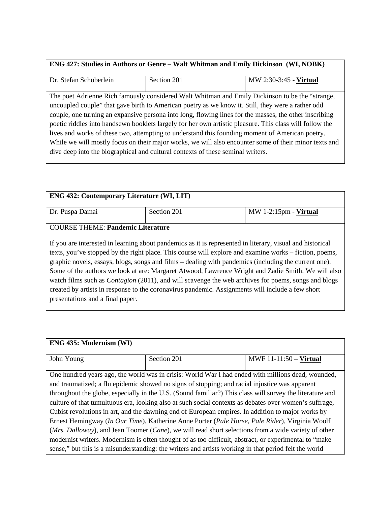| <b>ENG 427: Studies in Authors or Genre – Walt Whitman and Emily Dickinson (WI, NOBK)</b>               |                                                                                                 |                        |  |
|---------------------------------------------------------------------------------------------------------|-------------------------------------------------------------------------------------------------|------------------------|--|
| Dr. Stefan Schöberlein                                                                                  | Section 201                                                                                     | MW 2:30-3:45 - Virtual |  |
|                                                                                                         | The poet Adrienne Rich famously considered Walt Whitman and Emily Dickinson to be the "strange, |                        |  |
| uncoupled couple" that gave birth to American poetry as we know it. Still, they were a rather odd       |                                                                                                 |                        |  |
| couple, one turning an expansive persona into long, flowing lines for the masses, the other inscribing  |                                                                                                 |                        |  |
| poetic riddles into handsewn booklets largely for her own artistic pleasure. This class will follow the |                                                                                                 |                        |  |
| lives and works of these two, attempting to understand this founding moment of American poetry.         |                                                                                                 |                        |  |
| While we will mostly focus on their major works, we will also encounter some of their minor texts and   |                                                                                                 |                        |  |
| dive deep into the biographical and cultural contexts of these seminal writers.                         |                                                                                                 |                        |  |
|                                                                                                         |                                                                                                 |                        |  |

| <b>ENG 432: Contemporary Literature (WI, LIT)</b> |             |                                                                                                                                                                                                                                                                                                                                                                                                                                                                                                                                                                                                                                                     |  |
|---------------------------------------------------|-------------|-----------------------------------------------------------------------------------------------------------------------------------------------------------------------------------------------------------------------------------------------------------------------------------------------------------------------------------------------------------------------------------------------------------------------------------------------------------------------------------------------------------------------------------------------------------------------------------------------------------------------------------------------------|--|
| Dr. Puspa Damai                                   | Section 201 | MW 1-2:15pm - Virtual                                                                                                                                                                                                                                                                                                                                                                                                                                                                                                                                                                                                                               |  |
| <b>COURSE THEME: Pandemic Literature</b>          |             |                                                                                                                                                                                                                                                                                                                                                                                                                                                                                                                                                                                                                                                     |  |
| presentations and a final paper.                  |             | If you are interested in learning about pandemics as it is represented in literary, visual and historical<br>texts, you've stopped by the right place. This course will explore and examine works – fiction, poems,<br>graphic novels, essays, blogs, songs and films – dealing with pandemics (including the current one).<br>Some of the authors we look at are: Margaret Atwood, Lawrence Wright and Zadie Smith. We will also<br>watch films such as <i>Contagion</i> (2011), and will scavenge the web archives for poems, songs and blogs<br>created by artists in response to the coronavirus pandemic. Assignments will include a few short |  |

| <b>ENG 435: Modernism (WI)</b>                                                                           |                                                                                                       |                          |  |
|----------------------------------------------------------------------------------------------------------|-------------------------------------------------------------------------------------------------------|--------------------------|--|
| John Young                                                                                               | Section 201                                                                                           | MWF $11-11:50$ – Virtual |  |
|                                                                                                          | One hundred years ago, the world was in crisis: World War I had ended with millions dead, wounded,    |                          |  |
|                                                                                                          |                                                                                                       |                          |  |
|                                                                                                          | and traumatized; a flu epidemic showed no signs of stopping; and racial injustice was apparent        |                          |  |
| throughout the globe, especially in the U.S. (Sound familiar?) This class will survey the literature and |                                                                                                       |                          |  |
| culture of that tumultuous era, looking also at such social contexts as debates over women's suffrage,   |                                                                                                       |                          |  |
| Cubist revolutions in art, and the dawning end of European empires. In addition to major works by        |                                                                                                       |                          |  |
| Ernest Hemingway (In Our Time), Katherine Anne Porter (Pale Horse, Pale Rider), Virginia Woolf           |                                                                                                       |                          |  |
| (Mrs. Dalloway), and Jean Toomer (Cane), we will read short selections from a wide variety of other      |                                                                                                       |                          |  |
| modernist writers. Modernism is often thought of as too difficult, abstract, or experimental to "make    |                                                                                                       |                          |  |
|                                                                                                          | sense," but this is a misunderstanding: the writers and artists working in that period felt the world |                          |  |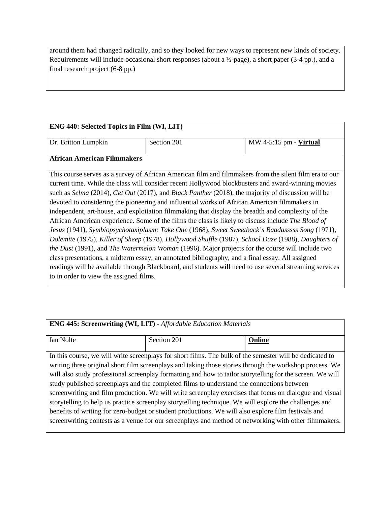around them had changed radically, and so they looked for new ways to represent new kinds of society. Requirements will include occasional short responses (about a ½-page), a short paper (3-4 pp.), and a final research project (6-8 pp.)

### **ENG 440: Selected Topics in Film (WI, LIT)**

| Dr. Britton Lumpkin         | Section 201 | MW 4-5:15 pm - <b>Virtual</b> |
|-----------------------------|-------------|-------------------------------|
| African American Filmmakers |             |                               |

#### **African American Filmmakers**

This course serves as a survey of African American film and filmmakers from the silent film era to our current time. While the class will consider recent Hollywood blockbusters and award-winning movies such as *Selma* (2014), *Get Out* (2017), and *Black Panther* (2018), the majority of discussion will be devoted to considering the pioneering and influential works of African American filmmakers in independent, art-house, and exploitation filmmaking that display the breadth and complexity of the African American experience. Some of the films the class is likely to discuss include *The Blood of Jesus* (1941), *Symbiopsychotaxiplasm: Take One* (1968), *Sweet Sweetback's Baadasssss Song* (1971), *Dolemite* (1975), *Killer of Sheep* (1978), *Hollywood Shuffle* (1987), *School Daze* (1988), *Daughters of the Dust* (1991), and *The Watermelon Woman* (1996). Major projects for the course will include two class presentations, a midterm essay, an annotated bibliography, and a final essay. All assigned readings will be available through Blackboard, and students will need to use several streaming services to in order to view the assigned films.

| <b>ENG 445: Screenwriting (WI, LIT)</b> - Affordable Education Materials                                                                                                                                             |                                                                                                                                                                                                              |        |  |
|----------------------------------------------------------------------------------------------------------------------------------------------------------------------------------------------------------------------|--------------------------------------------------------------------------------------------------------------------------------------------------------------------------------------------------------------|--------|--|
| Ian Nolte                                                                                                                                                                                                            | Section 201                                                                                                                                                                                                  | Online |  |
|                                                                                                                                                                                                                      | In this course, we will write screenplays for short films. The bulk of the semester will be dedicated to                                                                                                     |        |  |
| writing three original short film screenplays and taking those stories through the workshop process. We<br>will also study professional screenplay formatting and how to tailor storytelling for the screen. We will |                                                                                                                                                                                                              |        |  |
| study published screenplays and the completed films to understand the connections between                                                                                                                            |                                                                                                                                                                                                              |        |  |
| screenwriting and film production. We will write screenplay exercises that focus on dialogue and visual                                                                                                              |                                                                                                                                                                                                              |        |  |
| storytelling to help us practice screenplay storytelling technique. We will explore the challenges and                                                                                                               |                                                                                                                                                                                                              |        |  |
|                                                                                                                                                                                                                      | benefits of writing for zero-budget or student productions. We will also explore film festivals and<br>screenwriting contests as a venue for our screenplays and method of networking with other filmmakers. |        |  |